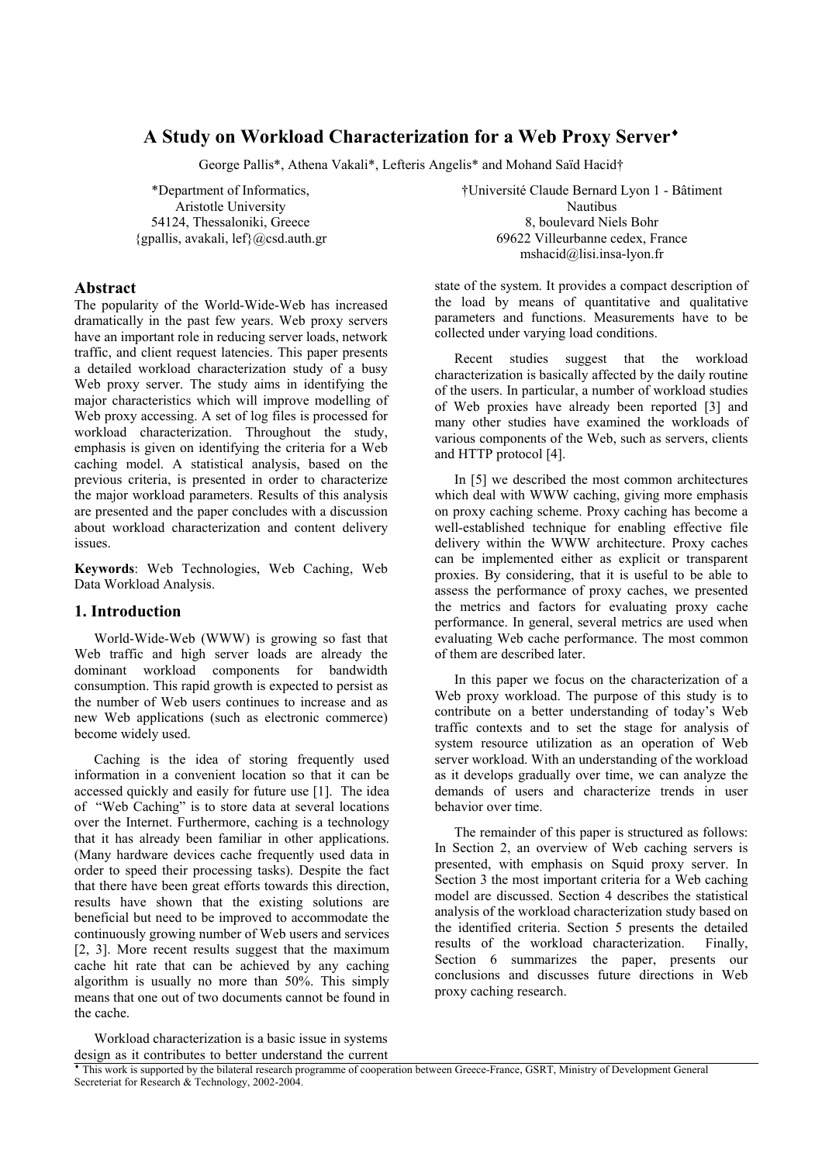# **A Study on Workload Characterization for a Web Proxy Server**♦

George Pallis\*, Athena Vakali\*, Lefteris Angelis\* and Mohand Saïd Hacid†

\*Department of Informatics, Aristotle University 54124, Thessaloniki, Greece  ${g}{p}$ allis, avakali, lef ${Q}$ csd.auth.gr

# **Abstract**

The popularity of the World-Wide-Web has increased dramatically in the past few years. Web proxy servers have an important role in reducing server loads, network traffic, and client request latencies. This paper presents a detailed workload characterization study of a busy Web proxy server. The study aims in identifying the major characteristics which will improve modelling of Web proxy accessing. A set of log files is processed for workload characterization. Throughout the study, emphasis is given on identifying the criteria for a Web caching model. A statistical analysis, based on the previous criteria, is presented in order to characterize the major workload parameters. Results of this analysis are presented and the paper concludes with a discussion about workload characterization and content delivery issues.

**Keywords**: Web Technologies, Web Caching, Web Data Workload Analysis.

### **1. Introduction**

World-Wide-Web (WWW) is growing so fast that Web traffic and high server loads are already the dominant workload components for bandwidth consumption. This rapid growth is expected to persist as the number of Web users continues to increase and as new Web applications (such as electronic commerce) become widely used.

Caching is the idea of storing frequently used information in a convenient location so that it can be accessed quickly and easily for future use [1]. The idea of "Web Caching" is to store data at several locations over the Internet. Furthermore, caching is a technology that it has already been familiar in other applications. (Many hardware devices cache frequently used data in order to speed their processing tasks). Despite the fact that there have been great efforts towards this direction, results have shown that the existing solutions are beneficial but need to be improved to accommodate the continuously growing number of Web users and services [2, 3]. More recent results suggest that the maximum cache hit rate that can be achieved by any caching algorithm is usually no more than 50%. This simply means that one out of two documents cannot be found in the cache.

†Université Claude Bernard Lyon 1 - Bâtiment Nautibus 8, boulevard Niels Bohr 69622 Villeurbanne cedex, France mshacid@lisi.insa-lyon.fr

state of the system. It provides a compact description of the load by means of quantitative and qualitative parameters and functions. Measurements have to be collected under varying load conditions.

Recent studies suggest that the workload characterization is basically affected by the daily routine of the users. In particular, a number of workload studies of Web proxies have already been reported [3] and many other studies have examined the workloads of various components of the Web, such as servers, clients and HTTP protocol [4].

In [5] we described the most common architectures which deal with WWW caching, giving more emphasis on proxy caching scheme. Proxy caching has become a well-established technique for enabling effective file delivery within the WWW architecture. Proxy caches can be implemented either as explicit or transparent proxies. By considering, that it is useful to be able to assess the performance of proxy caches, we presented the metrics and factors for evaluating proxy cache performance. In general, several metrics are used when evaluating Web cache performance. The most common of them are described later.

In this paper we focus on the characterization of a Web proxy workload. The purpose of this study is to contribute on a better understanding of today's Web traffic contexts and to set the stage for analysis of system resource utilization as an operation of Web server workload. With an understanding of the workload as it develops gradually over time, we can analyze the demands of users and characterize trends in user behavior over time.

The remainder of this paper is structured as follows: In Section 2, an overview of Web caching servers is presented, with emphasis on Squid proxy server. In Section 3 the most important criteria for a Web caching model are discussed. Section 4 describes the statistical analysis of the workload characterization study based on the identified criteria. Section 5 presents the detailed results of the workload characterization. Finally, Section 6 summarizes the paper, presents our conclusions and discusses future directions in Web proxy caching research.

Workload characterization is a basic issue in systems design as it contributes to better understand the current

This work is supported by the bilateral research programme of cooperation between Greece-France, GSRT, Ministry of Development General Secreteriat for Research & Technology, 2002-2004.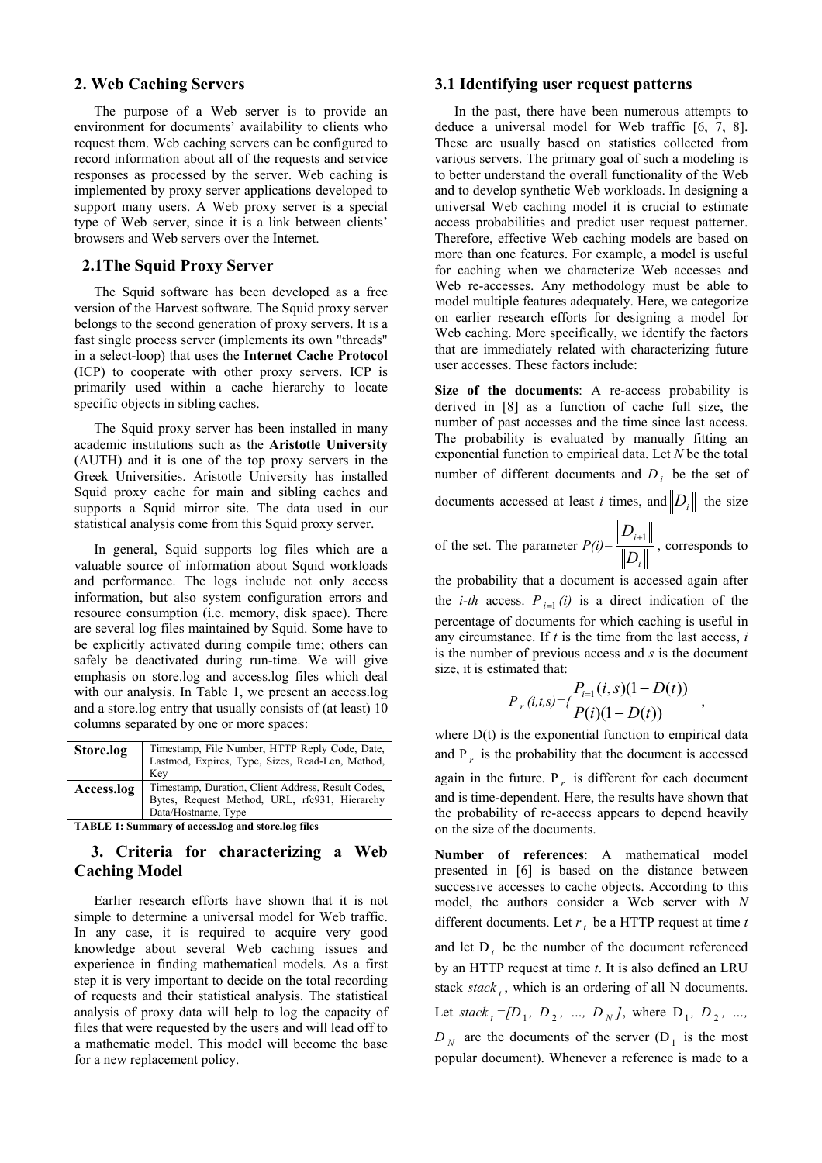## **2. Web Caching Servers**

The purpose of a Web server is to provide an environment for documents' availability to clients who request them. Web caching servers can be configured to record information about all of the requests and service responses as processed by the server. Web caching is implemented by proxy server applications developed to support many users. A Web proxy server is a special type of Web server, since it is a link between clients' browsers and Web servers over the Internet.

### **2.1The Squid Proxy Server**

The Squid software has been developed as a free version of the Harvest software. The Squid proxy server belongs to the second generation of proxy servers. It is a fast single process server (implements its own "threads" in a select-loop) that uses the **Internet Cache Protocol** (ICP) to cooperate with other proxy servers. ICP is primarily used within a cache hierarchy to locate specific objects in sibling caches.

The Squid proxy server has been installed in many academic institutions such as the **Aristotle University** (AUTH) and it is one of the top proxy servers in the Greek Universities. Aristotle University has installed Squid proxy cache for main and sibling caches and supports a Squid mirror site. The data used in our statistical analysis come from this Squid proxy server.

In general, Squid supports log files which are a valuable source of information about Squid workloads and performance. The logs include not only access information, but also system configuration errors and resource consumption (i.e. memory, disk space). There are several log files maintained by Squid. Some have to be explicitly activated during compile time; others can safely be deactivated during run-time. We will give emphasis on store.log and access.log files which deal with our analysis. In Table 1, we present an access.log and a store.log entry that usually consists of (at least) 10 columns separated by one or more spaces:

| Store.log  | Timestamp, File Number, HTTP Reply Code, Date,<br>Lastmod, Expires, Type, Sizes, Read-Len, Method,<br>Kev                  |
|------------|----------------------------------------------------------------------------------------------------------------------------|
| Access.log | Timestamp, Duration, Client Address, Result Codes,<br>Bytes, Request Method, URL, rfc931, Hierarchy<br>Data/Hostname, Type |
| $\sim$     | $\sim$ $\sim$ $\sim$                                                                                                       |

**TABLE 1: Summary of access.log and store.log files**

# **3. Criteria for characterizing a Web Caching Model**

Earlier research efforts have shown that it is not simple to determine a universal model for Web traffic. In any case, it is required to acquire very good knowledge about several Web caching issues and experience in finding mathematical models. As a first step it is very important to decide on the total recording of requests and their statistical analysis. The statistical analysis of proxy data will help to log the capacity of files that were requested by the users and will lead off to a mathematic model. This model will become the base for a new replacement policy.

### **3.1 Identifying user request patterns**

In the past, there have been numerous attempts to deduce a universal model for Web traffic [6, 7, 8]. These are usually based on statistics collected from various servers. The primary goal of such a modeling is to better understand the overall functionality of the Web and to develop synthetic Web workloads. In designing a universal Web caching model it is crucial to estimate access probabilities and predict user request patterner. Therefore, effective Web caching models are based on more than one features. For example, a model is useful for caching when we characterize Web accesses and Web re-accesses. Any methodology must be able to model multiple features adequately. Here, we categorize on earlier research efforts for designing a model for Web caching. More specifically, we identify the factors that are immediately related with characterizing future user accesses. These factors include:

**Size of the documents**: A re-access probability is derived in [8] as a function of cache full size, the number of past accesses and the time since last access. The probability is evaluated by manually fitting an exponential function to empirical data. Let *N* be the total number of different documents and  $D_i$  be the set of

documents accessed at least *i* times, and  $||D_i||$  the size

of the set. The parameter *P(i)= i i D*  $\frac{D_{i+1}}{n}$ , corresponds to

the probability that a document is accessed again after the *i-th* access.  $P_{i=1}(i)$  is a direct indication of the percentage of documents for which caching is useful in any circumstance. If *t* is the time from the last access, *i* is the number of previous access and *s* is the document size, it is estimated that:

$$
P_{r}(i,t,s)=\begin{cases} P_{i=1}(i,s)(1-D(t)) \\ P(i)(1-D(t)) \end{cases},
$$

where  $D(t)$  is the exponential function to empirical data and  $P_r$  is the probability that the document is accessed again in the future.  $P<sub>r</sub>$  is different for each document and is time-dependent. Here, the results have shown that the probability of re-access appears to depend heavily on the size of the documents.

**Number of references**: A mathematical model presented in [6] is based on the distance between successive accesses to cache objects. According to this model, the authors consider a Web server with *N* different documents. Let  $r_t$  be a HTTP request at time  $t$ and let D<sub>t</sub> be the number of the document referenced by an HTTP request at time *t*. It is also defined an LRU stack *stack*, which is an ordering of all N documents. Let *stack*<sub>t</sub> = [D<sub>1</sub>, D<sub>2</sub>, ..., D<sub>N</sub>], where D<sub>1</sub>, D<sub>2</sub>, ...,  $D_N$  are the documents of the server  $(D_1)$  is the most popular document). Whenever a reference is made to a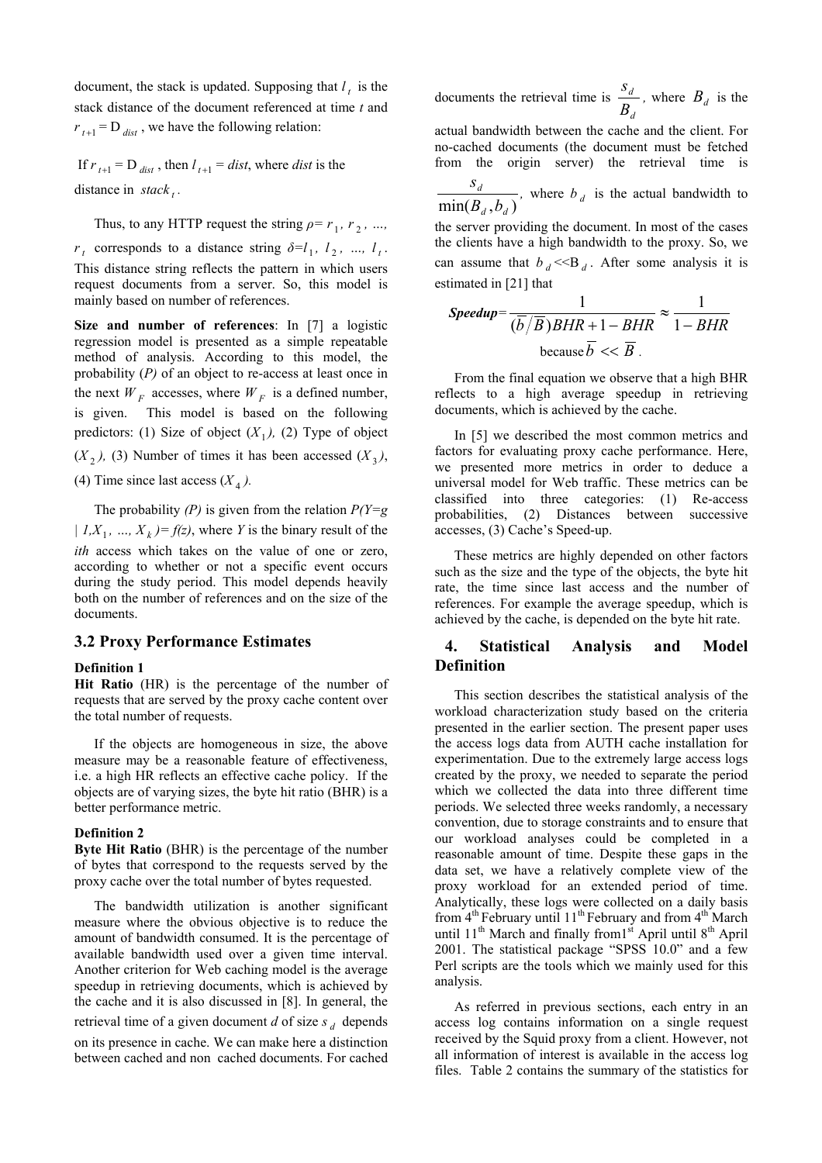document, the stack is updated. Supposing that  $l<sub>t</sub>$  is the stack distance of the document referenced at time *t* and  $r_{t+1}$  = D  $_{dist}$ , we have the following relation:

If  $r_{t+1} = D_{dist}$ , then  $l_{t+1} = dist$ , where *dist* is the distance in *stack* ...

Thus, to any HTTP request the string  $\rho = r_1, r_2, \ldots$ , *r<sub>t</sub>* corresponds to a distance string  $\delta = l_1, l_2, ..., l_t$ . This distance string reflects the pattern in which users request documents from a server. So, this model is mainly based on number of references.

 $(X_2)$ , (3) Number of times it has been accessed  $(X_3)$ , the next  $W_F$  accesses, where  $W_F$  is a defined number, **Size and number of references**: In [7] a logistic regression model is presented as a simple repeatable method of analysis. According to this model, the probability (*P)* of an object to re-access at least once in is given. This model is based on the following predictors: (1) Size of object  $(X_1)$ , (2) Type of object

(4) Time since last access  $(X_4)$ .

The probability  $(P)$  is given from the relation  $P(Y=g)$  $| I, X_1, ..., X_k \rangle = f(z)$ , where *Y* is the binary result of the *ith* access which takes on the value of one or zero, according to whether or not a specific event occurs during the study period. This model depends heavily both on the number of references and on the size of the documents.

### **3.2 Proxy Performance Estimates**

#### **Definition 1**

**Hit Ratio** (HR) is the percentage of the number of requests that are served by the proxy cache content over the total number of requests.

If the objects are homogeneous in size, the above measure may be a reasonable feature of effectiveness, i.e. a high HR reflects an effective cache policy. If the objects are of varying sizes, the byte hit ratio (BHR) is a better performance metric.

#### **Definition 2**

**Byte Hit Ratio** (BHR) is the percentage of the number of bytes that correspond to the requests served by the proxy cache over the total number of bytes requested.

The bandwidth utilization is another significant measure where the obvious objective is to reduce the amount of bandwidth consumed. It is the percentage of available bandwidth used over a given time interval. Another criterion for Web caching model is the average speedup in retrieving documents, which is achieved by the cache and it is also discussed in [8]. In general, the retrieval time of a given document *d* of size  $s_d$  depends on its presence in cache. We can make here a distinction between cached and non cached documents. For cached

documents the retrieval time is *d d B*  $\frac{S_d}{P}$ , where  $B_d$  is the

actual bandwidth between the cache and the client. For no-cached documents (the document must be fetched from the origin server) the retrieval time is

 $min(B_d, b_d)$ *d*  $B_d$ ,*b*  $\frac{S_d}{P}$ , where  $b_d$  is the actual bandwidth to the server providing the document. In most of the cases the clients have a high bandwidth to the proxy. So, we can assume that  $b_d \ll B_d$ . After some analysis it is estimated in [21] that

$$
Speedup = \frac{1}{(\overline{b}/\overline{B})BHR + 1 - BHR} \approx \frac{1}{1 - BHR}
$$
  
because  $\overline{b} \ll \overline{B}$ .

From the final equation we observe that a high BHR reflects to a high average speedup in retrieving documents, which is achieved by the cache.

In [5] we described the most common metrics and factors for evaluating proxy cache performance. Here, we presented more metrics in order to deduce a universal model for Web traffic. These metrics can be classified into three categories: (1) Re-access probabilities, (2) Distances between successive accesses, (3) Cache's Speed-up.

These metrics are highly depended on other factors such as the size and the type of the objects, the byte hit rate, the time since last access and the number of references. For example the average speedup, which is achieved by the cache, is depended on the byte hit rate.

# **4. Statistical Analysis and Model Definition**

This section describes the statistical analysis of the workload characterization study based on the criteria presented in the earlier section. The present paper uses the access logs data from AUTH cache installation for experimentation. Due to the extremely large access logs created by the proxy, we needed to separate the period which we collected the data into three different time periods. We selected three weeks randomly, a necessary convention, due to storage constraints and to ensure that our workload analyses could be completed in a reasonable amount of time. Despite these gaps in the data set, we have a relatively complete view of the proxy workload for an extended period of time. Analytically, these logs were collected on a daily basis from  $4<sup>th</sup>$  February until 11<sup>th</sup> February and from  $4<sup>th</sup>$  March until  $11<sup>th</sup>$  March and finally from  $1<sup>st</sup>$  April until  $8<sup>th</sup>$  April 2001. The statistical package "SPSS 10.0" and a few Perl scripts are the tools which we mainly used for this analysis.

As referred in previous sections, each entry in an access log contains information on a single request received by the Squid proxy from a client. However, not all information of interest is available in the access log files. Table 2 contains the summary of the statistics for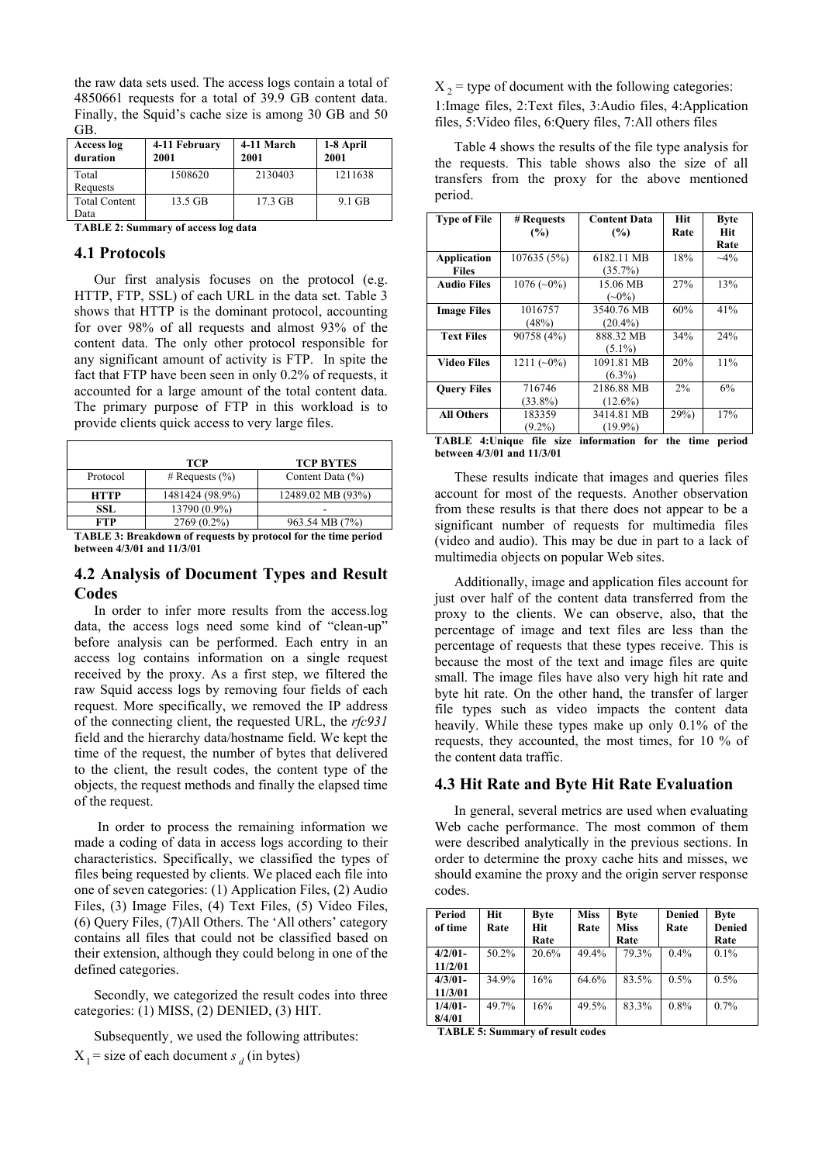the raw data sets used. The access logs contain a total of 4850661 requests for a total of 39.9 GB content data. Finally, the Squid's cache size is among 30 GB and 50 GB.

| Access log<br>duration | 4-11 February<br>2001 | 4-11 March<br>2001 | 1-8 April<br>2001 |
|------------------------|-----------------------|--------------------|-------------------|
| Total                  | 1508620               | 2130403            | 1211638           |
| Requests               |                       |                    |                   |
| <b>Total Content</b>   | $13.5$ GB             | $17.3 \text{ GB}$  | $9.1$ GB          |
| Data                   |                       |                    |                   |

**TABLE 2: Summary of access log data** 

### **4.1 Protocols**

Our first analysis focuses on the protocol (e.g. HTTP, FTP, SSL) of each URL in the data set. Table 3 shows that HTTP is the dominant protocol, accounting for over 98% of all requests and almost 93% of the content data. The only other protocol responsible for any significant amount of activity is FTP. In spite the fact that FTP have been seen in only 0.2% of requests, it accounted for a large amount of the total content data. The primary purpose of FTP in this workload is to provide clients quick access to very large files.

|                                                                        | <b>TCP</b>         | <b>TCP BYTES</b>     |  |
|------------------------------------------------------------------------|--------------------|----------------------|--|
| Protocol                                                               | # Requests $(\% )$ | Content Data $(\% )$ |  |
| <b>HTTP</b>                                                            | 1481424 (98.9%)    | 12489.02 MB (93%)    |  |
| SSL.                                                                   | 13790 (0.9%)       |                      |  |
| <b>FTP</b>                                                             | $2769(0.2\%)$      | 963.54 MB (7%)       |  |
| <b>TADI</b> F 2. Dreakdown of requests by protocol for the time period |                    |                      |  |

**TABLE 3: Breakdown of requests by protocol for the time period between 4/3/01 and 11/3/01** 

## **4.2 Analysis of Document Types and Result Codes**

In order to infer more results from the access.log data, the access logs need some kind of "clean-up" before analysis can be performed. Each entry in an access log contains information on a single request received by the proxy. As a first step, we filtered the raw Squid access logs by removing four fields of each request. More specifically, we removed the IP address of the connecting client, the requested URL, the *rfc931* field and the hierarchy data/hostname field. We kept the time of the request, the number of bytes that delivered to the client, the result codes, the content type of the objects, the request methods and finally the elapsed time of the request.

In order to process the remaining information we made a coding of data in access logs according to their characteristics. Specifically, we classified the types of files being requested by clients. We placed each file into one of seven categories: (1) Application Files, (2) Audio Files, (3) Image Files, (4) Text Files, (5) Video Files, (6) Query Files, (7)All Others. The 'All others' category contains all files that could not be classified based on their extension, although they could belong in one of the defined categories.

Secondly, we categorized the result codes into three categories: (1) MISS, (2) DENIED, (3) HIT.

Subsequently, we used the following attributes:

 $X_1$  = size of each document *s d* (in bytes)

 $X<sub>2</sub>$  = type of document with the following categories:

1:Image files, 2:Text files, 3:Audio files, 4:Application files, 5:Video files, 6:Query files, 7:All others files

Table 4 shows the results of the file type analysis for the requests. This table shows also the size of all transfers from the proxy for the above mentioned period.

| <b>Type of File</b>         | # Requests           | <b>Content Data</b>      | <b>Hit</b><br>Rate | <b>Byte</b><br><b>Hit</b> |
|-----------------------------|----------------------|--------------------------|--------------------|---------------------------|
|                             | (%)                  | (%)                      |                    | Rate                      |
| Application<br><b>Files</b> | 107635(5%)           | 6182.11 MB<br>$(35.7\%)$ | 18%                | $~10^{-4}$                |
| <b>Audio Files</b>          | $1076(-0\%)$         | 15.06 MB<br>$(\sim0\%)$  | 27%                | 13%                       |
| <b>Image Files</b>          | 1016757<br>(48%)     | 3540.76 MB<br>$(20.4\%)$ | 60%                | 41%                       |
| <b>Text Files</b>           | 90758 (4%)           | 888.32 MB<br>$(5.1\%)$   | 34%                | 24%                       |
| Video Files                 | $1211(-0\%)$         | 1091.81 MB<br>$(6.3\%)$  | 20%                | 11%                       |
| <b>Query Files</b>          | 716746<br>$(33.8\%)$ | 2186.88 MB<br>$(12.6\%)$ | 2%                 | 6%                        |
| <b>All Others</b>           | 183359<br>$(9.2\%)$  | 3414.81 MB<br>$(19.9\%)$ | 29%                | 17%                       |
| <b>TADID AIL.</b>           | $\sim$ $\sim$        |                          | $\mathbf{r}$       | .                         |

**TABLE 4:Unique file size information for the time period between 4/3/01 and 11/3/01** 

These results indicate that images and queries files account for most of the requests. Another observation from these results is that there does not appear to be a significant number of requests for multimedia files (video and audio). This may be due in part to a lack of multimedia objects on popular Web sites.

Additionally, image and application files account for just over half of the content data transferred from the proxy to the clients. We can observe, also, that the percentage of image and text files are less than the percentage of requests that these types receive. This is because the most of the text and image files are quite small. The image files have also very high hit rate and byte hit rate. On the other hand, the transfer of larger file types such as video impacts the content data heavily. While these types make up only 0.1% of the requests, they accounted, the most times, for 10 % of the content data traffic.

# **4.3 Hit Rate and Byte Hit Rate Evaluation**

In general, several metrics are used when evaluating Web cache performance. The most common of them were described analytically in the previous sections. In order to determine the proxy cache hits and misses, we should examine the proxy and the origin server response codes.

| Period<br>of time    | Hit<br>Rate | <b>Byte</b><br>Hit<br>Rate | <b>Miss</b><br>Rate | <b>Byte</b><br><b>Miss</b><br>Rate | <b>Denied</b><br>Rate | <b>Byte</b><br><b>Denied</b><br>Rate |
|----------------------|-------------|----------------------------|---------------------|------------------------------------|-----------------------|--------------------------------------|
| $4/2/01-$<br>11/2/01 | $50.2\%$    | 20.6%                      | 49.4%               | 79.3%                              | $0.4\%$               | $0.1\%$                              |
| $4/3/01-$<br>11/3/01 | 34.9%       | 16%                        | 64.6%               | 83.5%                              | 0.5%                  | 0.5%                                 |
| $1/4/01-$<br>8/4/01  | 49.7%       | 16%                        | 49.5%               | 83.3%                              | 0.8%                  | 0.7%                                 |

 **TABLE 5: Summary of result codes**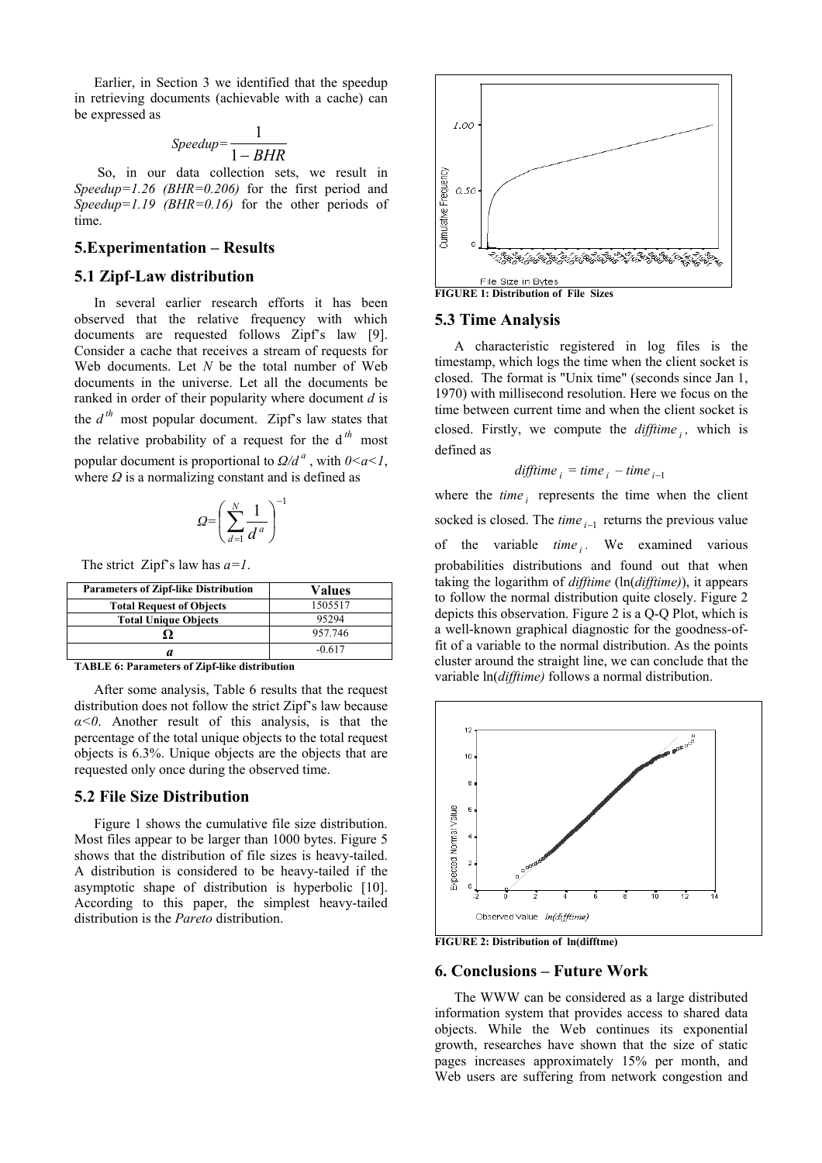Earlier, in Section 3 we identified that the speedup in retrieving documents (achievable with a cache) can be expressed as

$$
Speedup = \frac{1}{1 - BHR}
$$

So, in our data collection sets, we result in *Speedup=1.26 (BHR=0.206)* for the first period and *Speedup=1.19 (BHR=0.16)* for the other periods of time.

## **5.Experimentation – Results**

#### **5.1 Zipf-Law distribution**

In several earlier research efforts it has been observed that the relative frequency with which documents are requested follows Zipf's law [9]. Consider a cache that receives a stream of requests for Web documents. Let *N* be the total number of Web documents in the universe. Let all the documents be ranked in order of their popularity where document *d* is the  $d^{th}$  most popular document. Zipf's law states that the relative probability of a request for the  $d^{th}$  most popular document is proportional to  $Q/d^a$ , with  $0 \le a \le 1$ , where *Ω* is a normalizing constant and is defined as

$$
\mathbf{Q} = \left(\sum_{d=1}^N \frac{1}{d^a}\right)^{-1}
$$

The strict Zipf's law has *a=1*.

| <b>Parameters of Zipf-like Distribution</b> | Values   |
|---------------------------------------------|----------|
| <b>Total Request of Objects</b>             | 1505517  |
| <b>Total Unique Objects</b>                 | 95294    |
|                                             | 957.746  |
|                                             | $-0.617$ |

**TABLE 6: Parameters of Zipf-like distribution** 

After some analysis, Table 6 results that the request distribution does not follow the strict Zipf's law because *α<0*. Another result of this analysis, is that the percentage of the total unique objects to the total request objects is 6.3%. Unique objects are the objects that are requested only once during the observed time.

#### **5.2 File Size Distribution**

Figure 1 shows the cumulative file size distribution. Most files appear to be larger than 1000 bytes. Figure 5 shows that the distribution of file sizes is heavy-tailed. A distribution is considered to be heavy-tailed if the asymptotic shape of distribution is hyperbolic [10]. According to this paper, the simplest heavy-tailed distribution is the *Pareto* distribution.



**FIGURE 1: Distribution of File Sizes** 

#### **5.3 Time Analysis**

A characteristic registered in log files is the timestamp, which logs the time when the client socket is closed. The format is "Unix time" (seconds since Jan 1, 1970) with millisecond resolution. Here we focus on the time between current time and when the client socket is closed. Firstly, we compute the *difftime <sup>i</sup> ,* which is defined as

*difftime <sup>i</sup>* = *time <sup>i</sup>* – *time <sup>i</sup>*−<sup>1</sup>

where the *time i* represents the time when the client socked is closed. The  $time_{i-1}$  returns the previous value of the variable *time i*. We examined various probabilities distributions and found out that when taking the logarithm of *difftime* (ln(*difftime)*), it appears to follow the normal distribution quite closely. Figure 2 depicts this observation. Figure 2 is a Q-Q Plot, which is a well-known graphical diagnostic for the goodness-offit of a variable to the normal distribution. As the points cluster around the straight line, we can conclude that the variable ln(*difftime)* follows a normal distribution.



**FIGURE 2: Distribution of ln(difftme)** 

#### **6. Conclusions – Future Work**

The WWW can be considered as a large distributed information system that provides access to shared data objects. While the Web continues its exponential growth, researches have shown that the size of static pages increases approximately 15% per month, and Web users are suffering from network congestion and